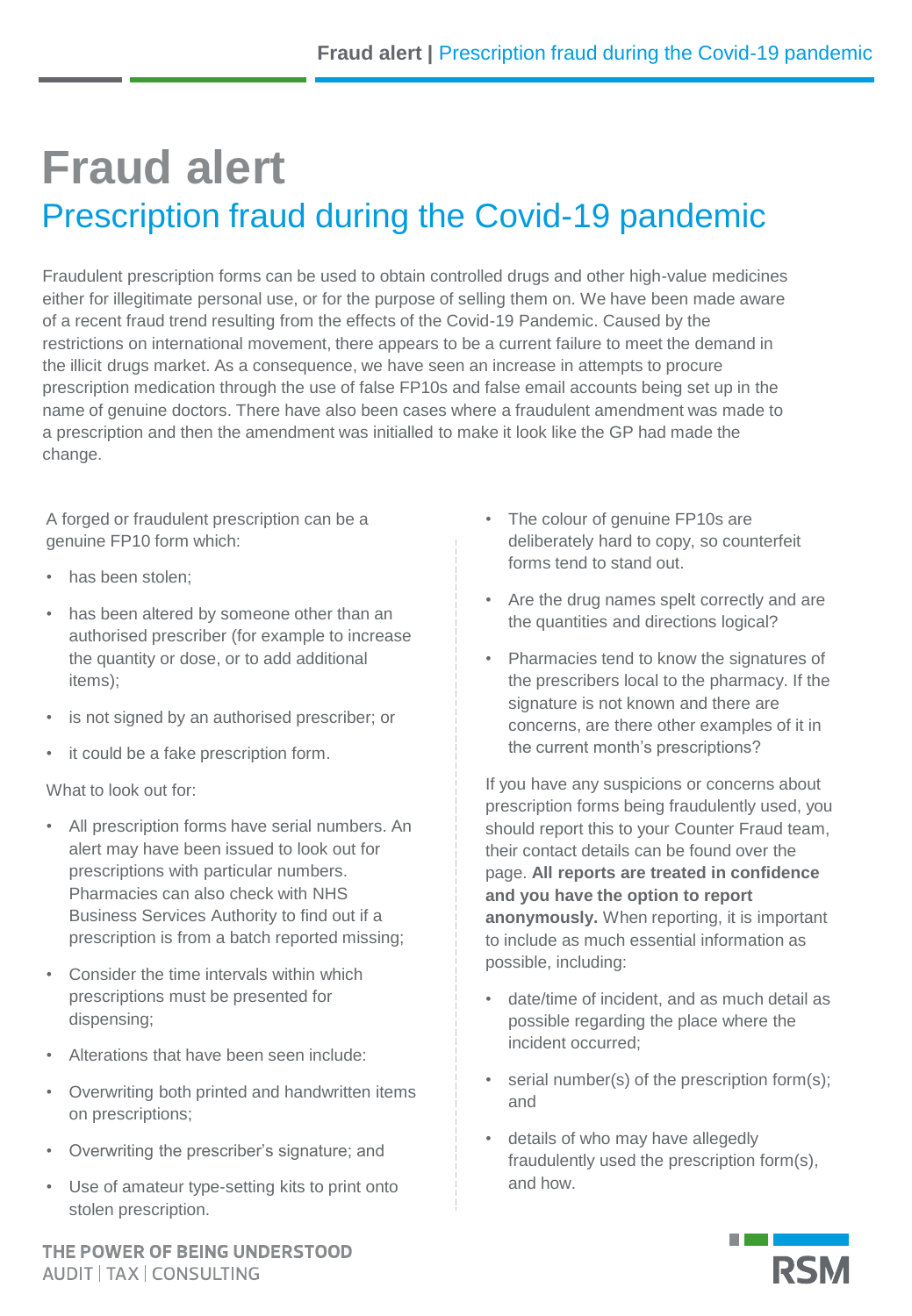## **Fraud alert** Prescription fraud during the Covid-19 pandemic

Fraudulent prescription forms can be used to obtain controlled drugs and other high-value medicines either for illegitimate personal use, or for the purpose of selling them on. We have been made aware of a recent fraud trend resulting from the effects of the Covid-19 Pandemic. Caused by the restrictions on international movement, there appears to be a current failure to meet the demand in the illicit drugs market. As a consequence, we have seen an increase in attempts to procure prescription medication through the use of false FP10s and false email accounts being set up in the name of genuine doctors. There have also been cases where a fraudulent amendment was made to a prescription and then the amendment was initialled to make it look like the GP had made the change.

A forged or fraudulent prescription can be a genuine FP10 form which:

- has been stolen:
- has been altered by someone other than an authorised prescriber (for example to increase the quantity or dose, or to add additional items);
- is not signed by an authorised prescriber; or
- it could be a fake prescription form.

What to look out for:

- All prescription forms have serial numbers. An alert may have been issued to look out for prescriptions with particular numbers. Pharmacies can also check with NHS Business Services Authority to find out if a prescription is from a batch reported missing;
- Consider the time intervals within which prescriptions must be presented for dispensing;
- Alterations that have been seen include:
- Overwriting both printed and handwritten items on prescriptions;
- Overwriting the prescriber's signature; and
- Use of amateur type-setting kits to print onto stolen prescription.

THE POWER OF BEING UNDERSTOOD **AUDIT | TAX | CONSULTING** 

- The colour of genuine FP10s are deliberately hard to copy, so counterfeit forms tend to stand out.
- Are the drug names spelt correctly and are the quantities and directions logical?
- Pharmacies tend to know the signatures of the prescribers local to the pharmacy. If the signature is not known and there are concerns, are there other examples of it in the current month's prescriptions?

If you have any suspicions or concerns about prescription forms being fraudulently used, you should report this to your Counter Fraud team, their contact details can be found over the page. **All reports are treated in confidence and you have the option to report anonymously.** When reporting, it is important to include as much essential information as possible, including:

- date/time of incident, and as much detail as possible regarding the place where the incident occurred;
- serial number(s) of the prescription form(s); and
- details of who may have allegedly fraudulently used the prescription form(s), and how.